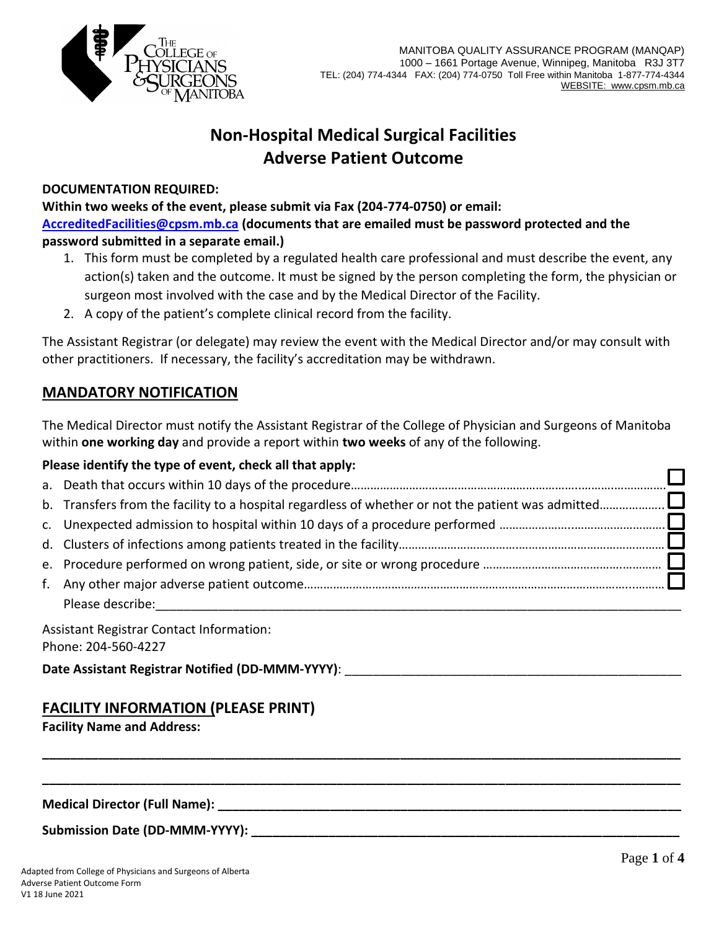

# **Non-Hospital Medical Surgical Facilities Adverse Patient Outcome**

#### **DOCUMENTATION REQUIRED:**

**Within two weeks of the event, please submit via Fax (204-774-0750) or email: AccreditedFacilities@cpsm.mb.ca (documents that are emailed must be password protected and the password submitted in a separate email.)**

- 1. This form must be completed by a regulated health care professional and must describe the event, any action(s) taken and the outcome. It must be signed by the person completing the form, the physician or surgeon most involved with the case and by the Medical Director of the Facility.
- 2. A copy of the patient's complete clinical record from the facility.

The Assistant Registrar (or delegate) may review the event with the Medical Director and/or may consult with other practitioners. If necessary, the facility's accreditation may be withdrawn.

# **MANDATORY NOTIFICATION**

The Medical Director must notify the Assistant Registrar of the College of Physician and Surgeons of Manitoba within **one working day** and provide a report within **two weeks** of any of the following.

### **Please identify the type of event, check all that apply:**

| Please describe: |  |
|------------------|--|

**\_\_\_\_\_\_\_\_\_\_\_\_\_\_\_\_\_\_\_\_\_\_\_\_\_\_\_\_\_\_\_\_\_\_\_\_\_\_\_\_\_\_\_\_\_\_\_\_\_\_\_\_\_\_\_\_\_\_\_\_\_\_\_\_\_\_\_\_\_\_\_\_\_\_\_\_\_\_\_\_\_\_\_\_\_\_\_\_\_\_\_**

**\_\_\_\_\_\_\_\_\_\_\_\_\_\_\_\_\_\_\_\_\_\_\_\_\_\_\_\_\_\_\_\_\_\_\_\_\_\_\_\_\_\_\_\_\_\_\_\_\_\_\_\_\_\_\_\_\_\_\_\_\_\_\_\_\_\_\_\_\_\_\_\_\_\_\_\_\_\_\_\_\_\_\_\_\_\_\_\_\_\_\_**

Assistant Registrar Contact Information: Phone: 204-560-4227

**Date Assistant Registrar Notified (DD-MMM-YYYY)**: \_\_\_\_\_\_\_\_\_\_\_\_\_\_\_\_\_\_\_\_\_\_\_\_\_\_\_\_\_\_\_\_\_\_\_\_\_\_\_\_\_\_\_\_\_\_\_\_

# **FACILITY INFORMATION (PLEASE PRINT)**

**Facility Name and Address:**

 $\blacksquare$  Medical Director (Full Name):

**Submission Date (DD-MMM-YYYY): \_\_\_\_\_\_\_\_\_\_\_\_\_\_\_\_\_\_\_\_\_\_\_\_\_\_\_\_\_\_\_\_\_\_\_\_\_\_\_\_\_\_\_\_\_\_\_\_\_\_\_\_\_\_\_\_\_\_\_\_\_**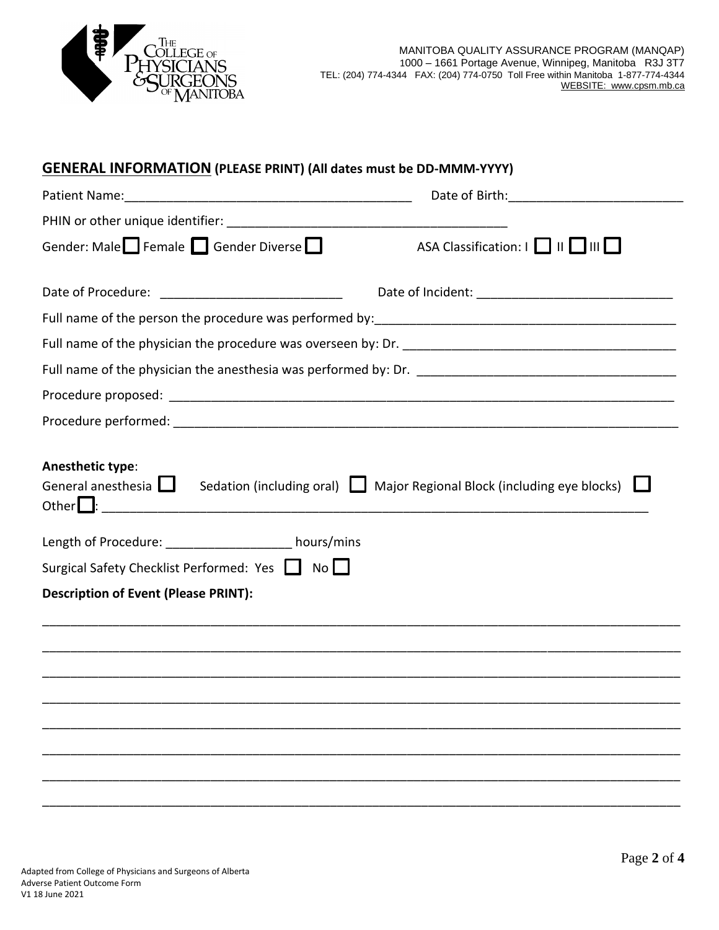

| <b>GENERAL INFORMATION (PLEASE PRINT) (All dates must be DD-MMM-YYYY)</b>                                                                                                                      |                                                                                     |
|------------------------------------------------------------------------------------------------------------------------------------------------------------------------------------------------|-------------------------------------------------------------------------------------|
|                                                                                                                                                                                                | Date of Birth: <u>__________________</u>                                            |
|                                                                                                                                                                                                |                                                                                     |
| Gender: Male Female Gender Diverse                                                                                                                                                             | ASA Classification:                                                                 |
|                                                                                                                                                                                                |                                                                                     |
|                                                                                                                                                                                                |                                                                                     |
|                                                                                                                                                                                                |                                                                                     |
|                                                                                                                                                                                                |                                                                                     |
|                                                                                                                                                                                                |                                                                                     |
|                                                                                                                                                                                                |                                                                                     |
|                                                                                                                                                                                                |                                                                                     |
| Anesthetic type:<br>General anesthesia  <br>Length of Procedure: __________________ hours/mins<br>Surgical Safety Checklist Performed: Yes   No<br><b>Description of Event (Please PRINT):</b> | Sedation (including oral) $\Box$ Major Regional Block (including eye blocks) $\Box$ |
|                                                                                                                                                                                                |                                                                                     |
|                                                                                                                                                                                                |                                                                                     |
|                                                                                                                                                                                                |                                                                                     |
|                                                                                                                                                                                                |                                                                                     |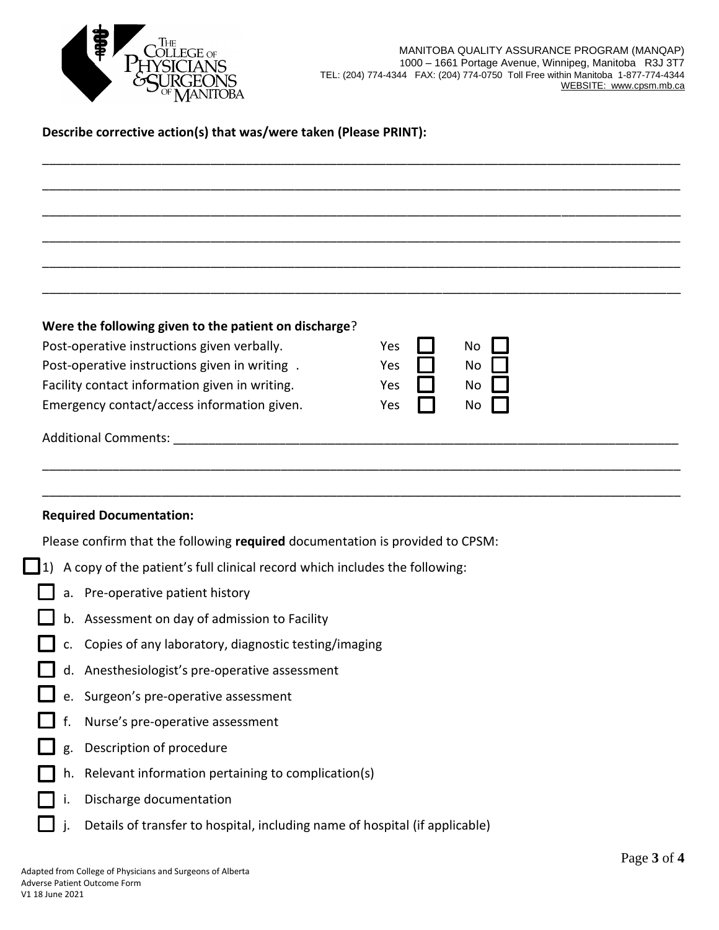

### **Describe corrective action(s) that was/were taken (Please PRINT):**

| Were the following given to the patient on discharge? |     |     |
|-------------------------------------------------------|-----|-----|
| Post-operative instructions given verbally.           | Yes | No  |
| Post-operative instructions given in writing.         | Yes | No  |
| Facility contact information given in writing.        | Yes | No  |
| Emergency contact/access information given.           | Yes | No. |
| <b>Additional Comments:</b>                           |     |     |
|                                                       |     |     |

\_\_\_\_\_\_\_\_\_\_\_\_\_\_\_\_\_\_\_\_\_\_\_\_\_\_\_\_\_\_\_\_\_\_\_\_\_\_\_\_\_\_\_\_\_\_\_\_\_\_\_\_\_\_\_\_\_\_\_\_\_\_\_\_\_\_\_\_\_\_\_\_\_\_\_\_\_\_\_\_\_\_\_\_\_\_\_\_\_\_\_

\_\_\_\_\_\_\_\_\_\_\_\_\_\_\_\_\_\_\_\_\_\_\_\_\_\_\_\_\_\_\_\_\_\_\_\_\_\_\_\_\_\_\_\_\_\_\_\_\_\_\_\_\_\_\_\_\_\_\_\_\_\_\_\_\_\_\_\_\_\_\_\_\_\_\_\_\_\_\_\_\_\_\_\_\_\_\_\_\_\_\_

\_\_\_\_\_\_\_\_\_\_\_\_\_\_\_\_\_\_\_\_\_\_\_\_\_\_\_\_\_\_\_\_\_\_\_\_\_\_\_\_\_\_\_\_\_\_\_\_\_\_\_\_\_\_\_\_\_\_\_\_\_\_\_\_\_\_\_\_\_\_\_\_\_\_\_\_\_\_\_\_\_\_\_\_\_\_\_\_\_\_\_

#### **Required Documentation:**

Please confirm that the following **required** documentation is provided to CPSM:

|    | 1) A copy of the patient's full clinical record which includes the following: |
|----|-------------------------------------------------------------------------------|
|    | a. Pre-operative patient history                                              |
|    | b. Assessment on day of admission to Facility                                 |
|    | c. Copies of any laboratory, diagnostic testing/imaging                       |
|    | d. Anesthesiologist's pre-operative assessment                                |
|    | e. Surgeon's pre-operative assessment                                         |
|    | f. Nurse's pre-operative assessment                                           |
|    | $\Box$ g. Description of procedure                                            |
|    | h. Relevant information pertaining to complication(s)                         |
| i. | Discharge documentation                                                       |
|    | Details of transfer to hospital, including name of hospital (if applicable)   |